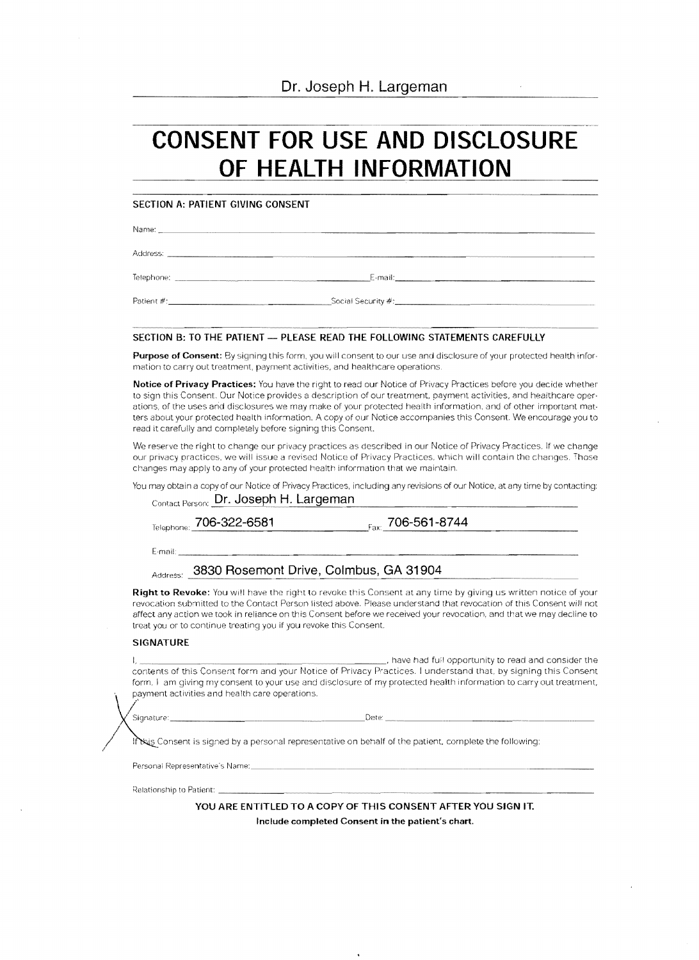Dr. Joseph H. Largeman

# **CONSENT FOR USE AND DISCLOSURE OF HEALTH INFORMATION**

## **SECTION A: PATIENT GIVING CONSENT**

Name:

Address: \_\_\_\_\_\_\_\_\_\_ \_\_ .......~~~\_\_\_\_\_\_\_\_\_\_\_\_\_\_\_.......\_\_\_\_\_.... \_\_\_

Telephone: \_\_\_\_\_\_\_~E·mail: \_\_\_\_\_\_\_\_\_\_\_\_\_\_\_\_\_\_\_

Patient #·\_\_\_\_\_\_\_\_\_\_\_\_\_\_\_~Social Security #:\_\_\_\_\_\_\_ \_\_\_\_\_\_\_\_\_<sup>~</sup>

### SECTION B: TO THE PATIENT - PLEASE READ THE FOLLOWING STATEMENTS CAREFULLY

**Purpose of Consent:** By signing this form, you will consent to our use and disclosure of your protected health infor· mation to carry out treatment, payment activities, and healthcare operations.

Notice of Privacy Practices: You have the right to read our Notice of Privacy Practices before you decide whether to sign this Consent. Our Notice provides a description of our treatment. payment activities, and healthcare oper· ations, of the uses arid disclosures we may make of your protected health information, and of other important mat· ters about your protected health information. A copy of our Notice accompanies this Consent. We encourage you to read it carefully and completely before signing this Consent.

We reserve the right to change our privacy practices as described in our Notice of Privacy Practices. If we change our privacy practices, we will issue a revised Notice of Privacy Practices, which will contain the changes. Those changes may apply to any of your protected health information that we maintain.

You may obtain a copy of our Notice of Privacy Practices, including any revisions of our Notice, at any time by contacting: Contact Person: **Dr. Joseph H. Largeman** 

| Telephone: 706-322-6581                                           | $_{\text{Faxi}}$ 706-561-8744                                                                                                                                                                                                                                                                                                                                         |
|-------------------------------------------------------------------|-----------------------------------------------------------------------------------------------------------------------------------------------------------------------------------------------------------------------------------------------------------------------------------------------------------------------------------------------------------------------|
| E-mail: <b>E-mail:</b>                                            |                                                                                                                                                                                                                                                                                                                                                                       |
| Address: 3830 Rosemont Drive, Colmbus, GA 31904                   |                                                                                                                                                                                                                                                                                                                                                                       |
| treat you or to continue treating you if you revoke this Consent. | <b>Right to Revoke:</b> You will have the right to revoke this Consent at any time by giving us written notice of your<br>revocation submitted to the Contact Person listed above. Please understand that revocation of this Consent will not<br>affect any action we took in reliance on this Consent before we received your revocation, and that we may decline to |
|                                                                   |                                                                                                                                                                                                                                                                                                                                                                       |

#### **SIGNATURE**

I, .....\_\_\_\_\_~....., have had fu:I opportunity to read and consider the contents of this Consent form and your Notice of Privacy Practices. I understand that, by signing this Consent form, I am giving my consent to your use and disclosure of my protected health information to carry out treatment, payment activities and health care operations.

Signature:

~~~~D8te' \_\_\_\_\_\_ ......\_\_\_\_\_\_~~\_\_ \_\_ ......\_\_

It kis Consent is signed by a personal representative on behalf of the patient, complete the following:

Personai Representative's Name:

,<elationsl1ip to Patient· \_~~~~~~~~~\_ ~~~~\_\_\_\_\_\_\_\_\_\_\_\_\_\_\_\_\_\_\_

**YOU ARE ENTITLED TO A COpy OF THIS CONSENT AFTER YOU SIGN IT. Include completed Consent in the patient's chart.**